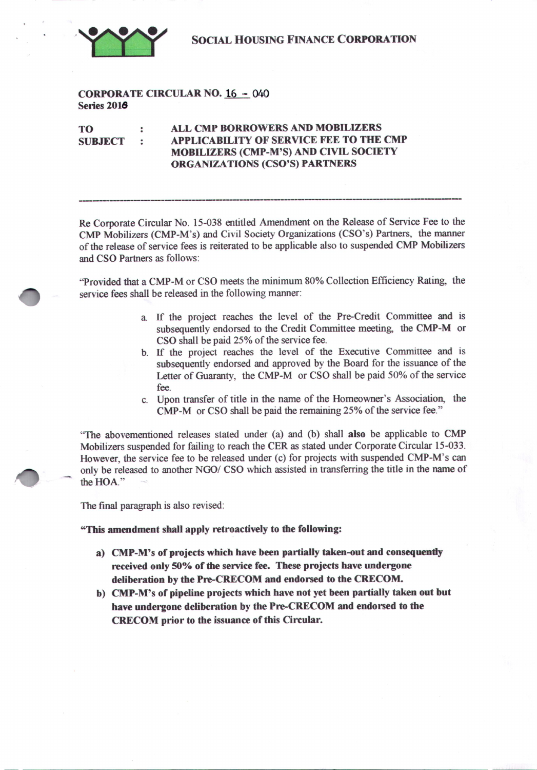SOCIAL HOUSING FINANCE CORPORATION



CORPORATE CIRCULAR NO. 16 - *O/JO* Series 2016

## ALL CMP BORROWERS AND MOBILIZERS TO  $\ddot{\phantom{a}}$ APPLICABILITY OF SERVICE FEE TO THE CMP SUBJECT  $\ddot{\phantom{a}}$ MOBILIZERS (CMP-M'S) AND CIVIL SOCIETY ORGANIZATIONS (CSO'S) PARTNERS

Re Corporate Circular No. 15-038 entitled Amendment on the Release of Service Fee to the CMP Mobilizers (CMP-M's) and Civil Society Organizations (CSO's) Partners, the manner of the release of service fees is reiterated to be applicable also to suspended CMP Mobilizers and CSO Partners as follows:

**------------------------------------------------------------------------**

"Provided that a CMP-M or CSO meets the minimum 80% Collection Efficiency Rating, the service fees shall be released in the following manner:

- a If the project reaches the level of the Pre-Credit Committee and is subsequently endorsed to the Credit Committee meeting, the CMP-M or CSO shall be paid 25% of the service fee.
- b. If the project reaches the level of the Executive Committee and is subsequently endorsed and approved by the Board for the issuance of the Letter of Guaranty, the CMP-M or CSO shall be paid 50% of the service fee.
- c. Upon transfer of title in the name of the Homeowner's Association, the CMP-M or CSO shall be paid the remaining 25% of the service fee."

''The abovementioned releases stated under (a) and (b) shall also be applicable to CMP Mobilizers suspended for failing to reach the CER as stated under Corporate Circular 15-033. However, the service fee to be released under (c) for projects with suspended CMP-M's can only be released to another NGO/ CSO which assisted intransferring the title in the name of the HOA."

The final paragraph is also revised:

"This amendment shall apply retroactively to the following:

- a) CMP-M's of projects which have been partially taken-out and consequendy received only 50% of the service fee. These projects have undergone deliberation by the Pre-CRECOM and endorsed to the CRECOM.
- b) CMP-M's of pipeline projects which have not yet been partially taken out but have undergone deliberation by the Pre-CRECOM and endorsed to the CRECOM prior to the issuance of this Circular.